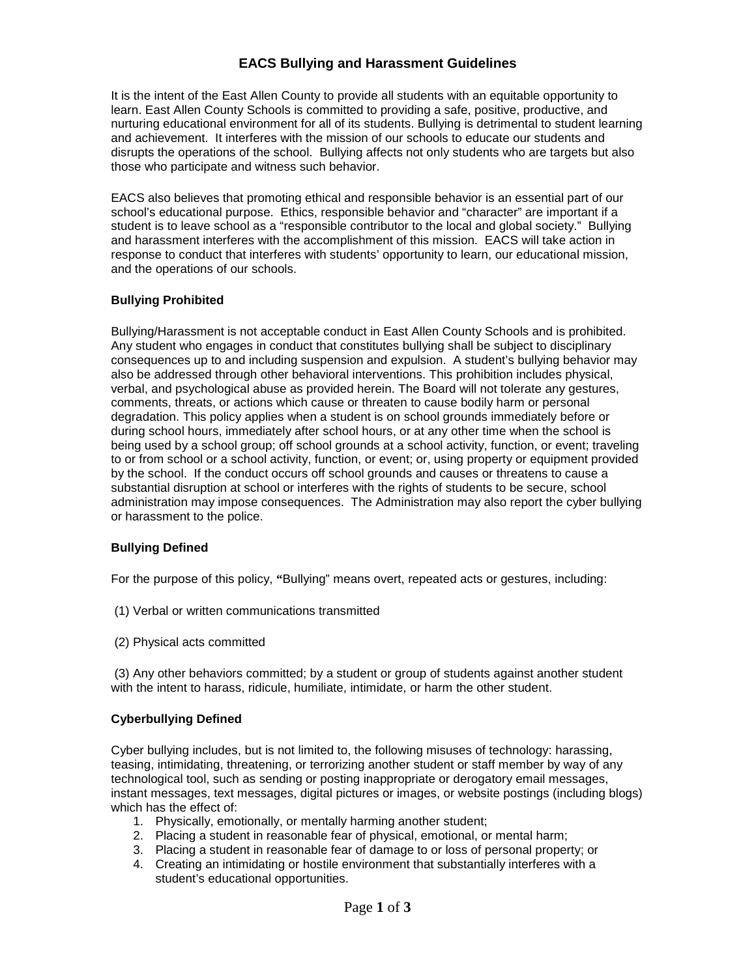# **EACS Bullying and Harassment Guidelines**

It is the intent of the East Allen County to provide all students with an equitable opportunity to learn. East Allen County Schools is committed to providing a safe, positive, productive, and nurturing educational environment for all of its students. Bullying is detrimental to student learning and achievement. It interferes with the mission of our schools to educate our students and disrupts the operations of the school. Bullying affects not only students who are targets but also those who participate and witness such behavior.

EACS also believes that promoting ethical and responsible behavior is an essential part of our school's educational purpose. Ethics, responsible behavior and "character" are important if a student is to leave school as a "responsible contributor to the local and global society." Bullying and harassment interferes with the accomplishment of this mission. EACS will take action in response to conduct that interferes with students' opportunity to learn, our educational mission, and the operations of our schools.

## **Bullying Prohibited**

Bullying/Harassment is not acceptable conduct in East Allen County Schools and is prohibited. Any student who engages in conduct that constitutes bullying shall be subject to disciplinary consequences up to and including suspension and expulsion. A student's bullying behavior may also be addressed through other behavioral interventions. This prohibition includes physical, verbal, and psychological abuse as provided herein. The Board will not tolerate any gestures, comments, threats, or actions which cause or threaten to cause bodily harm or personal degradation. This policy applies when a student is on school grounds immediately before or during school hours, immediately after school hours, or at any other time when the school is being used by a school group; off school grounds at a school activity, function, or event; traveling to or from school or a school activity, function, or event; or, using property or equipment provided by the school. If the conduct occurs off school grounds and causes or threatens to cause a substantial disruption at school or interferes with the rights of students to be secure, school administration may impose consequences. The Administration may also report the cyber bullying or harassment to the police.

## **Bullying Defined**

For the purpose of this policy, **"**Bullying" means overt, repeated acts or gestures, including:

- (1) Verbal or written communications transmitted
- (2) Physical acts committed

(3) Any other behaviors committed; by a student or group of students against another student with the intent to harass, ridicule, humiliate, intimidate, or harm the other student.

#### **Cyberbullying Defined**

Cyber bullying includes, but is not limited to, the following misuses of technology: harassing, teasing, intimidating, threatening, or terrorizing another student or staff member by way of any technological tool, such as sending or posting inappropriate or derogatory email messages, instant messages, text messages, digital pictures or images, or website postings (including blogs) which has the effect of:

- 1. Physically, emotionally, or mentally harming another student;
- 2. Placing a student in reasonable fear of physical, emotional, or mental harm;
- 3. Placing a student in reasonable fear of damage to or loss of personal property; or
- 4. Creating an intimidating or hostile environment that substantially interferes with a student's educational opportunities.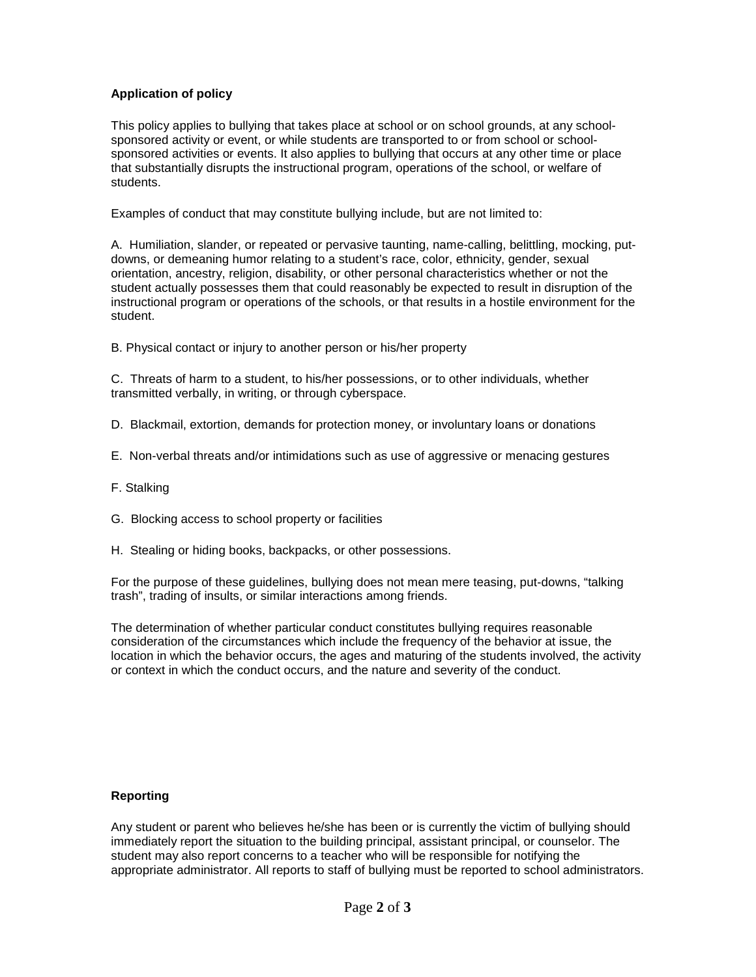## **Application of policy**

This policy applies to bullying that takes place at school or on school grounds, at any schoolsponsored activity or event, or while students are transported to or from school or schoolsponsored activities or events. It also applies to bullying that occurs at any other time or place that substantially disrupts the instructional program, operations of the school, or welfare of students.

Examples of conduct that may constitute bullying include, but are not limited to:

A. Humiliation, slander, or repeated or pervasive taunting, name-calling, belittling, mocking, putdowns, or demeaning humor relating to a student's race, color, ethnicity, gender, sexual orientation, ancestry, religion, disability, or other personal characteristics whether or not the student actually possesses them that could reasonably be expected to result in disruption of the instructional program or operations of the schools, or that results in a hostile environment for the student.

B. Physical contact or injury to another person or his/her property

C. Threats of harm to a student, to his/her possessions, or to other individuals, whether transmitted verbally, in writing, or through cyberspace.

- D. Blackmail, extortion, demands for protection money, or involuntary loans or donations
- E. Non-verbal threats and/or intimidations such as use of aggressive or menacing gestures
- F. Stalking
- G. Blocking access to school property or facilities
- H. Stealing or hiding books, backpacks, or other possessions.

For the purpose of these guidelines, bullying does not mean mere teasing, put-downs, "talking trash", trading of insults, or similar interactions among friends.

The determination of whether particular conduct constitutes bullying requires reasonable consideration of the circumstances which include the frequency of the behavior at issue, the location in which the behavior occurs, the ages and maturing of the students involved, the activity or context in which the conduct occurs, and the nature and severity of the conduct.

### **Reporting**

Any student or parent who believes he/she has been or is currently the victim of bullying should immediately report the situation to the building principal, assistant principal, or counselor. The student may also report concerns to a teacher who will be responsible for notifying the appropriate administrator. All reports to staff of bullying must be reported to school administrators.